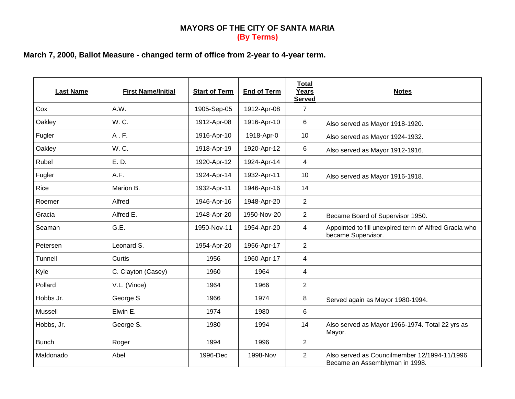## **MAYORS OF THE CITY OF SANTA MARIA (By Terms)**

## **March 7, 2000, Ballot Measure - changed term of office from 2-year to 4-year term.**

| <b>Last Name</b> | <b>First Name/Initial</b> | <b>Start of Term</b> | <b>End of Term</b> | <b>Total</b><br>Years<br><b>Served</b> | <b>Notes</b>                                                                    |
|------------------|---------------------------|----------------------|--------------------|----------------------------------------|---------------------------------------------------------------------------------|
| Cox              | A.W.                      | 1905-Sep-05          | 1912-Apr-08        | $\overline{7}$                         |                                                                                 |
| Oakley           | W.C.                      | 1912-Apr-08          | 1916-Apr-10        | 6                                      | Also served as Mayor 1918-1920.                                                 |
| Fugler           | A.F.                      | 1916-Apr-10          | 1918-Apr-0         | 10                                     | Also served as Mayor 1924-1932.                                                 |
| Oakley           | W.C.                      | 1918-Apr-19          | 1920-Apr-12        | $\,6\,$                                | Also served as Mayor 1912-1916.                                                 |
| Rubel            | E. D.                     | 1920-Apr-12          | 1924-Apr-14        | 4                                      |                                                                                 |
| Fugler           | A.F.                      | 1924-Apr-14          | 1932-Apr-11        | 10                                     | Also served as Mayor 1916-1918.                                                 |
| Rice             | Marion B.                 | 1932-Apr-11          | 1946-Apr-16        | 14                                     |                                                                                 |
| Roemer           | Alfred                    | 1946-Apr-16          | 1948-Apr-20        | $\overline{2}$                         |                                                                                 |
| Gracia           | Alfred E.                 | 1948-Apr-20          | 1950-Nov-20        | $\overline{2}$                         | Became Board of Supervisor 1950.                                                |
| Seaman           | G.E.                      | 1950-Nov-11          | 1954-Apr-20        | 4                                      | Appointed to fill unexpired term of Alfred Gracia who<br>became Supervisor.     |
| Petersen         | Leonard S.                | 1954-Apr-20          | 1956-Apr-17        | $\overline{2}$                         |                                                                                 |
| Tunnell          | Curtis                    | 1956                 | 1960-Apr-17        | $\overline{4}$                         |                                                                                 |
| Kyle             | C. Clayton (Casey)        | 1960                 | 1964               | $\overline{\mathbf{4}}$                |                                                                                 |
| Pollard          | V.L. (Vince)              | 1964                 | 1966               | $\overline{2}$                         |                                                                                 |
| Hobbs Jr.        | George S                  | 1966                 | 1974               | 8                                      | Served again as Mayor 1980-1994.                                                |
| Mussell          | Elwin E.                  | 1974                 | 1980               | 6                                      |                                                                                 |
| Hobbs, Jr.       | George S.                 | 1980                 | 1994               | 14                                     | Also served as Mayor 1966-1974. Total 22 yrs as<br>Mayor.                       |
| <b>Bunch</b>     | Roger                     | 1994                 | 1996               | $\overline{2}$                         |                                                                                 |
| Maldonado        | Abel                      | 1996-Dec             | 1998-Nov           | $\overline{2}$                         | Also served as Councilmember 12/1994-11/1996.<br>Became an Assemblyman in 1998. |